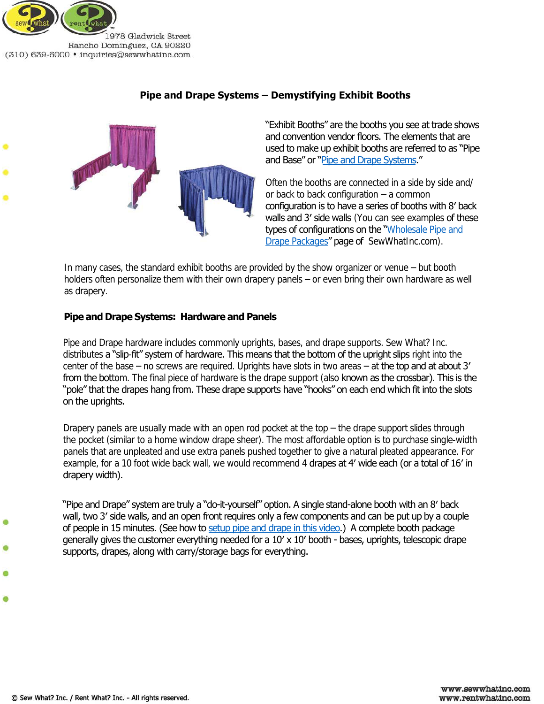

Rancho Dominguez, CA 90220 (310) 639-6000 · inquiries@sewwhatinc.com

# **Pipe and Drape Systems – Demystifying Exhibit Booths**



 "Exhibit Booths" are the booths you see at trade shows and convention vendor floors. The elements that are used to make up exhibit booths are referred to as "Pipe and Base" or "<u>Pipe and Drape Systems</u>."

 configuration is to have a series of booths with 8′ back walls and 3' side walls (You can see examples of these types of configurations on the "Wholesale Pipe and [Drape Packages](http://www.sewwhatinc.com/pipe_booth_party.php)" page of SewWhatInc.com). Often the booths are connected in a side by side and/ or back to back configuration – a common

In many cases, the standard exhibit booths are provided by the show organizer or venue – but booth holders often personalize them with their own drapery panels – or even bring their own hardware as well as drapery.

### **Pipe and Drape Systems: Hardware and Panels**

distributes **a "slip-fit" system of hardware. This means that the bottom of the upright slips** right into the center of the base – no screws are required. Uprights have slots in two areas – at the top and at about 3' from the bottom. The final piece of hardware is the drape support (also known as the crossbar). This is the "pole" that the drapes hang from. These drape supports have "hooks" on each end which fit into the slots on the uprights. Pipe and Drape hardware includes commonly uprights, bases, and drape supports. Sew What? Inc.

 panels that are unpleated and use extra panels pushed together to give a natural pleated appearance. For example, for a 10 foot wide back wall, we would recommend 4 drapes at 4' wide each (or a total of 16' in Drapery panels are usually made with an open rod pocket at the top – the drape support slides through the pocket (similar to a home window drape sheer). The most affordable option is to purchase single-width drapery width).

 "Pipe and Drape" system are truly a "do-it-yourself" option. A single stand-alone booth with an 8′ back wall, two 3′ side walls, and an open front requires only a few components and can be put up by a couple of people in 15 minutes. (See how to [setup pipe and drape in this video.\)](http://youtu.be/Dovn-QELlnM) A complete booth package generally gives the customer everything needed for a 10′ x 10′ booth - bases, uprights, telescopic drape supports, drapes, along with carry/storage bags for everything.